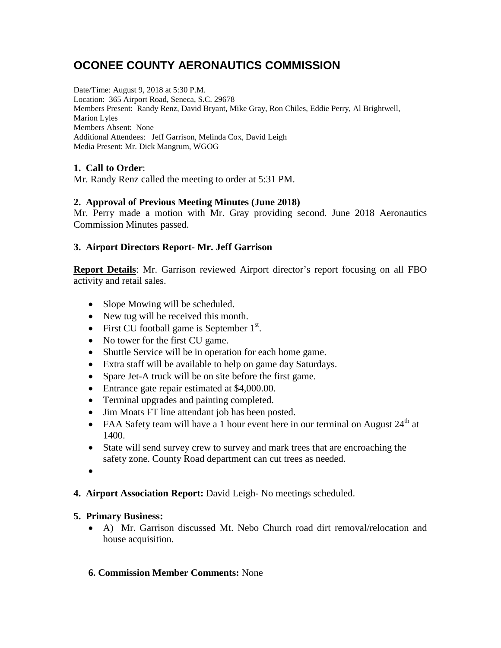# **OCONEE COUNTY AERONAUTICS COMMISSION**

Date/Time: August 9, 2018 at 5:30 P.M. Location: 365 Airport Road, Seneca, S.C. 29678 Members Present: Randy Renz, David Bryant, Mike Gray, Ron Chiles, Eddie Perry, Al Brightwell, Marion Lyles Members Absent: None Additional Attendees: Jeff Garrison, Melinda Cox, David Leigh Media Present: Mr. Dick Mangrum, WGOG

# **1. Call to Order**:

Mr. Randy Renz called the meeting to order at 5:31 PM.

#### **2. Approval of Previous Meeting Minutes (June 2018)**

Mr. Perry made a motion with Mr. Gray providing second. June 2018 Aeronautics Commission Minutes passed.

# **3. Airport Directors Report- Mr. Jeff Garrison**

**Report Details**: Mr. Garrison reviewed Airport director's report focusing on all FBO activity and retail sales.

- Slope Mowing will be scheduled.
- New tug will be received this month.
- First CU football game is September  $1<sup>st</sup>$ .
- No tower for the first CU game.
- Shuttle Service will be in operation for each home game.
- Extra staff will be available to help on game day Saturdays.
- Spare Jet-A truck will be on site before the first game.
- Entrance gate repair estimated at \$4,000.00.
- Terminal upgrades and painting completed.
- Jim Moats FT line attendant job has been posted.
- FAA Safety team will have a 1 hour event here in our terminal on August  $24<sup>th</sup>$  at 1400.
- State will send survey crew to survey and mark trees that are encroaching the safety zone. County Road department can cut trees as needed.
- •
- **4. Airport Association Report:** David Leigh- No meetings scheduled.

#### **5. Primary Business:**

• A) Mr. Garrison discussed Mt. Nebo Church road dirt removal/relocation and house acquisition.

#### **6. Commission Member Comments:** None